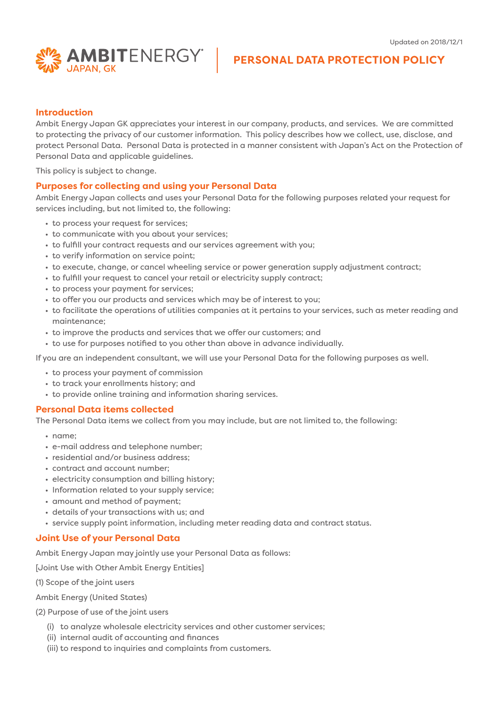

# **PERSONAL DATA PROTECTION POLICY**

#### **Introduction**

Ambit Energy Japan GK appreciates your interest in our company, products, and services. We are committed to protecting the privacy of our customer information. This policy describes how we collect, use, disclose, and protect Personal Data. Personal Data is protected in a manner consistent with Japan's Act on the Protection of Personal Data and applicable guidelines.

This policy is subject to change.

#### **Purposes for collecting and using your Personal Data**

Ambit Energy Japan collects and uses your Personal Data for the following purposes related your request for services including, but not limited to, the following:

- to process your request for services;
- to communicate with you about your services;
- to fulfill your contract requests and our services agreement with you;
- to verify information on service point;
- to execute, change, or cancel wheeling service or power generation supply adjustment contract;
- to fulfill your request to cancel your retail or electricity supply contract;
- to process your payment for services;
- to offer you our products and services which may be of interest to you;
- to facilitate the operations of utilities companies at it pertains to your services, such as meter reading and maintenance;
- to improve the products and services that we offer our customers; and
- to use for purposes notified to you other than above in advance individually.

If you are an independent consultant, we will use your Personal Data for the following purposes as well.

- to process your payment of commission
- to track your enrollments history; and
- to provide online training and information sharing services.

#### **Personal Data items collected**

The Personal Data items we collect from you may include, but are not limited to, the following:

- name;
- e-mail address and telephone number;
- residential and/or business address;
- contract and account number;
- electricity consumption and billing history;
- Information related to your supply service;
- amount and method of payment;
- details of your transactions with us; and
- service supply point information, including meter reading data and contract status.

#### **Joint Use of your Personal Data**

Ambit Energy Japan may jointly use your Personal Data as follows:

[Joint Use with Other Ambit Energy Entities]

(1) Scope of the joint users

Ambit Energy (United States)

- (2) Purpose of use of the joint users
	- (i) to analyze wholesale electricity services and other customer services;
	- (ii) internal audit of accounting and finances
	- (iii) to respond to inquiries and complaints from customers.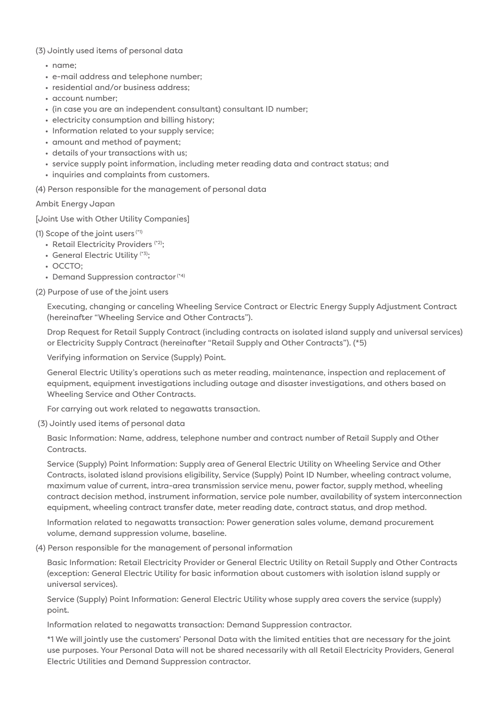## (3) Jointly used items of personal data

- name;
- e-mail address and telephone number;
- residential and/or business address;
- account number;
- (in case you are an independent consultant) consultant ID number;
- electricity consumption and billing history;
- Information related to your supply service;
- amount and method of payment;
- details of your transactions with us;
- service supply point information, including meter reading data and contract status; and
- inquiries and complaints from customers.

(4) Person responsible for the management of personal data

## Ambit Energy Japan

[Joint Use with Other Utility Companies]

(1) Scope of the joint users  $(1)$ 

- Retail Electricity Providers (\*2);
- General Electric Utility (\*3);
- OCCTO;
- Demand Suppression contractor<sup>(\*4)</sup>

(2) Purpose of use of the joint users

Executing, changing or canceling Wheeling Service Contract or Electric Energy Supply Adjustment Contract (hereinafter "Wheeling Service and Other Contracts").

Drop Request for Retail Supply Contract (including contracts on isolated island supply and universal services) or Electricity Supply Contract (hereinafter "Retail Supply and Other Contracts"). (\*5)

Verifying information on Service (Supply) Point.

General Electric Utility's operations such as meter reading, maintenance, inspection and replacement of equipment, equipment investigations including outage and disaster investigations, and others based on Wheeling Service and Other Contracts.

For carrying out work related to negawatts transaction.

(3) Jointly used items of personal data

Basic Information: Name, address, telephone number and contract number of Retail Supply and Other Contracts.

Service (Supply) Point Information: Supply area of General Electric Utility on Wheeling Service and Other Contracts, isolated island provisions eligibility, Service (Supply) Point ID Number, wheeling contract volume, maximum value of current, intra-area transmission service menu, power factor, supply method, wheeling contract decision method, instrument information, service pole number, availability of system interconnection equipment, wheeling contract transfer date, meter reading date, contract status, and drop method.

Information related to negawatts transaction: Power generation sales volume, demand procurement volume, demand suppression volume, baseline.

(4) Person responsible for the management of personal information

Basic Information: Retail Electricity Provider or General Electric Utility on Retail Supply and Other Contracts (exception: General Electric Utility for basic information about customers with isolation island supply or universal services).

Service (Supply) Point Information: General Electric Utility whose supply area covers the service (supply) point.

Information related to negawatts transaction: Demand Suppression contractor.

\*1 We will jointly use the customers' Personal Data with the limited entities that are necessary for the joint use purposes. Your Personal Data will not be shared necessarily with all Retail Electricity Providers, General Electric Utilities and Demand Suppression contractor.